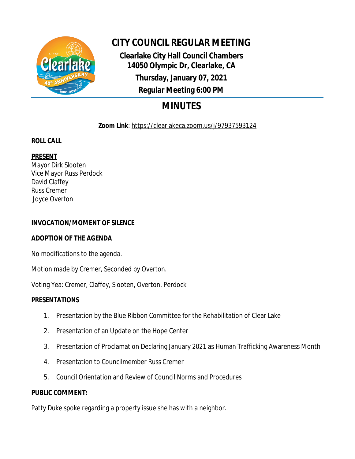

# **CITY COUNCIL REGULAR MEETING**

**Clearlake City Hall Council Chambers 14050 Olympic Dr, Clearlake, CA Thursday, January 07, 2021 Regular Meeting 6:00 PM**

# **MINUTES**

**Zoom Link**: https://clearlakeca.zoom.us/j/97937593124

# **ROLL CALL**

# **PRESENT**

Mayor Dirk Slooten Vice Mayor Russ Perdock David Claffey Russ Cremer Joyce Overton

## **INVOCATION/MOMENT OF SILENCE**

## **ADOPTION OF THE AGENDA**

No modifications to the agenda.

Motion made by Cremer, Seconded by Overton.

Voting Yea: Cremer, Claffey, Slooten, Overton, Perdock

## **PRESENTATIONS**

- 1. Presentation by the Blue Ribbon Committee for the Rehabilitation of Clear Lake
- 2. Presentation of an Update on the Hope Center
- 3. Presentation of Proclamation Declaring January 2021 as Human Trafficking Awareness Month
- 4. Presentation to Councilmember Russ Cremer
- 5. Council Orientation and Review of Council Norms and Procedures

## **PUBLIC COMMENT:**

Patty Duke spoke regarding a property issue she has with a neighbor.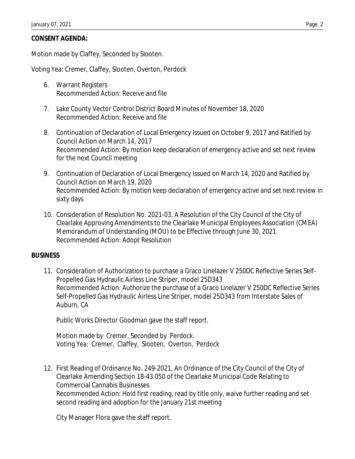### **CONSENT AGENDA:**

Motion made by Claffey, Seconded by Slooten.

Voting Yea: Cremer, Claffey, Slooten, Overton, Perdock

- 6. Warrant Registers Recommended Action: Receive and file
- 7. Lake County Vector Control District Board Minutes of November 18, 2020 Recommended Action: Receive and file
- 8. Continuation of Declaration of Local Emergency Issued on October 9, 2017 and Ratified by Council Action on March 14, 2017 Recommended Action: By motion keep declaration of emergency active and set next review for the next Council meeting
- 9. Continuation of Declaration of Local Emergency Issued on March 14, 2020 and Ratified by Council Action on March 19, 2020 Recommended Action: By motion keep declaration of emergency active and set next review in sixty days
- 10. Consideration of Resolution No. 2021-03, A Resolution of the City Council of the City of Clearlake Approving Amendments to the Clearlake Municipal Employees Association (CMEA) Memorandum of Understanding (MOU) to be Effective through June 30, 2021 Recommended Action: Adopt Resolution

#### **BUSINESS**

11. Consideration of Authorization to purchase a Graco Linelazer V 250DC Reflective Series Self-Propelled Gas Hydraulic Airless Line Striper, model 25D343 Recommended Action: Authorize the purchase of a Graco Linelazer V 250DC Reflective Series Self-Propelled Gas Hydraulic Airless Line Striper, model 25D343 from Interstate Sales of Auburn, CA

Public Works Director Goodman gave the staff report.

Motion made by Cremer, Seconded by Perdock. Voting Yea: Cremer, Claffey, Slooten, Overton, Perdock

12. First Reading of Ordinance No. 249-2021, An Ordinance of the City Council of the City of Clearlake Amending Section 18-43.050 of the Clearlake Municipal Code Relating to Commercial Cannabis Businesses Recommended Action: Hold first reading, read by title only, waive further reading and set second reading and adoption for the January 21st meeting

City Manager Flora gave the staff report.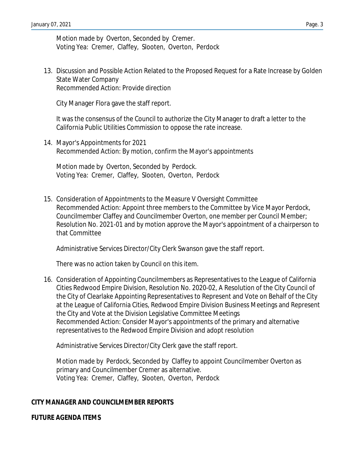Motion made by Overton, Seconded by Cremer. Voting Yea: Cremer, Claffey, Slooten, Overton, Perdock

13. Discussion and Possible Action Related to the Proposed Request for a Rate Increase by Golden State Water Company Recommended Action: Provide direction

City Manager Flora gave the staff report.

It was the consensus of the Council to authorize the City Manager to draft a letter to the California Public Utilities Commission to oppose the rate increase.

14. Mayor's Appointments for 2021 Recommended Action: By motion, confirm the Mayor's appointments

Motion made by Overton, Seconded by Perdock. Voting Yea: Cremer, Claffey, Slooten, Overton, Perdock

15. Consideration of Appointments to the Measure V Oversight Committee Recommended Action: Appoint three members to the Committee by Vice Mayor Perdock, Councilmember Claffey and Councilmember Overton, one member per Council Member; Resolution No. 2021-01 and by motion approve the Mayor's appointment of a chairperson to that Committee

Administrative Services Director/City Clerk Swanson gave the staff report.

There was no action taken by Council on this item.

16. Consideration of Appointing Councilmembers as Representatives to the League of California Cities Redwood Empire Division, Resolution No. 2020-02, A Resolution of the City Council of the City of Clearlake Appointing Representatives to Represent and Vote on Behalf of the City at the League of California Cities, Redwood Empire Division Business Meetings and Represent the City and Vote at the Division Legislative Committee Meetings Recommended Action: Consider Mayor's appointments of the primary and alternative representatives to the Redwood Empire Division and adopt resolution

Administrative Services Director/City Clerk gave the staff report.

Motion made by Perdock, Seconded by Claffey to appoint Councilmember Overton as primary and Councilmember Cremer as alternative. Voting Yea: Cremer, Claffey, Slooten, Overton, Perdock

#### **CITY MANAGER AND COUNCILMEMBER REPORTS**

#### **FUTURE AGENDA ITEMS**